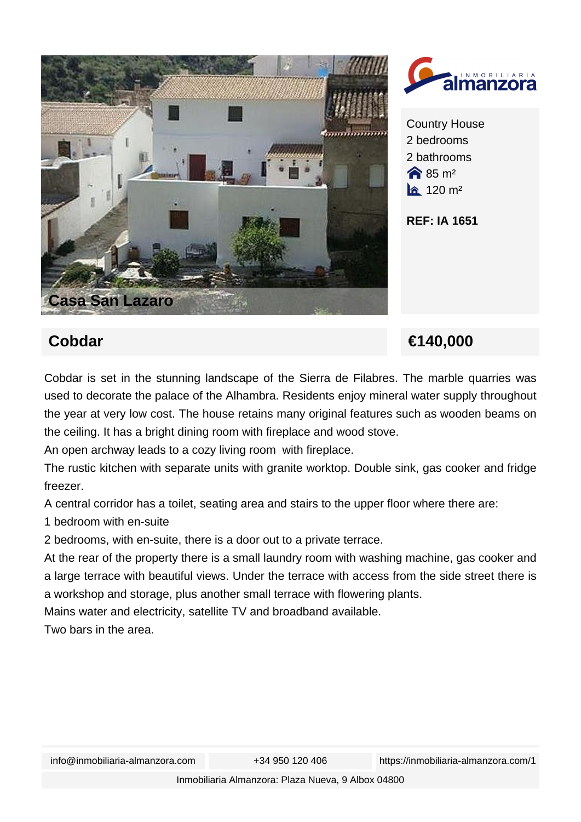



Country House 2 bedrooms 2 bathrooms  $\bigotimes$  85 m<sup>2</sup>  $a$  120 m<sup>2</sup>

**REF: IA 1651**

## **Cobdar €140,000**

Cobdar is set in the stunning landscape of the Sierra de Filabres. The marble quarries was used to decorate the palace of the Alhambra. Residents enjoy mineral water supply throughout the year at very low cost. The house retains many original features such as wooden beams on the ceiling. It has a bright dining room with fireplace and wood stove.

An open archway leads to a cozy living room with fireplace.

The rustic kitchen with separate units with granite worktop. Double sink, gas cooker and fridge freezer.

A central corridor has a toilet, seating area and stairs to the upper floor where there are:

1 bedroom with en-suite

2 bedrooms, with en-suite, there is a door out to a private terrace.

At the rear of the property there is a small laundry room with washing machine, gas cooker and a large terrace with beautiful views. Under the terrace with access from the side street there is a workshop and storage, plus another small terrace with flowering plants.

Mains water and electricity, satellite TV and broadband available.

Two bars in the area.